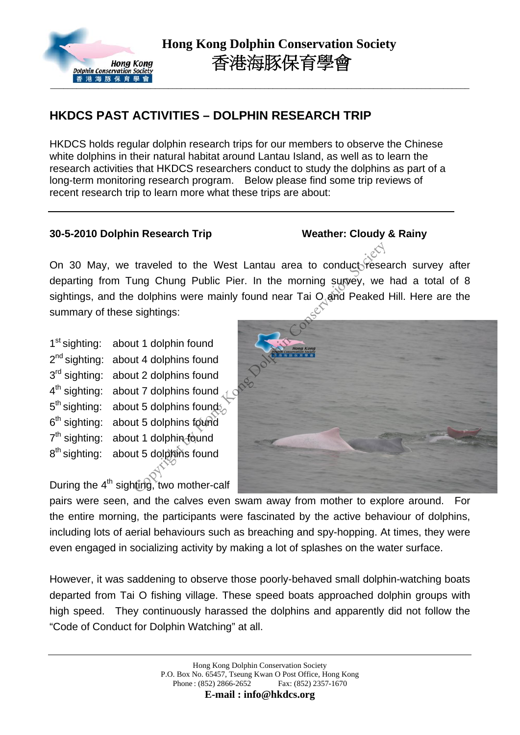

## **HKDCS PAST ACTIVITIES – DOLPHIN RESEARCH TRIP**

HKDCS holds regular dolphin research trips for our members to observe the Chinese white dolphins in their natural habitat around Lantau Island, as well as to learn the research activities that HKDCS researchers conduct to study the dolphins as part of a long-term monitoring research program. Below please find some trip reviews of recent research trip to learn more what these trips are about:

## **30-5-2010 Dolphin Research Trip Weather: Cloudy & Rainy**

On 30 May, we traveled to the West Lantau area to conduct research survey after departing from Tung Chung Public Pier. In the morning survey, we had a total of 8 sightings, and the dolphins were mainly found near Tai  $O$  and Peaked Hill. Here are the summary of these sightings:

1<sup>st</sup> sighting: about 1 dolphin found 2<sup>nd</sup> sighting: about 4 dolphins found 3<sup>rd</sup> sighting: about 2 dolphins found 4<sup>th</sup> sighting: about 7 dolphins found 5<sup>th</sup> sighting: about 5 dolphins founds. 6<sup>th</sup> sighting: about 5 dolphins found  $7<sup>th</sup>$  sighting: about 1 dolphin found 8<sup>th</sup> sighting: about 5 dolphins found

During the  $4<sup>th</sup>$  sighting, two mother-calf



pairs were seen, and the calves even swam away from mother to explore around. For the entire morning, the participants were fascinated by the active behaviour of dolphins, including lots of aerial behaviours such as breaching and spy-hopping. At times, they were even engaged in socializing activity by making a lot of splashes on the water surface.

However, it was saddening to observe those poorly-behaved small dolphin-watching boats departed from Tai O fishing village. These speed boats approached dolphin groups with high speed. They continuously harassed the dolphins and apparently did not follow the "Code of Conduct for Dolphin Watching" at all.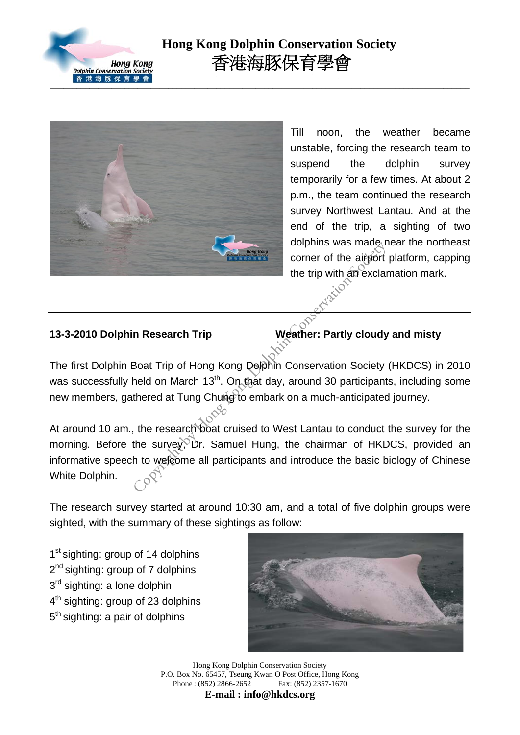

# **Hong Kong Dolphin Conservation Society** 香港海豚保育學會



Till noon, the weather became unstable, forcing the research team to suspend the dolphin survey temporarily for a few times. At about 2 p.m., the team continued the research survey Northwest Lantau. And at the end of the trip, a sighting of two dolphins was made near the northeast corner of the airport platform, capping the trip with an exclamation mark.

### **13-3-2010 Dolphin Research Trip Weather: Partly cloudy and misty**

The first Dolphin Boat Trip of Hong Kong Dolphin Conservation Society (HKDCS) in 2010 was successfully held on March 13<sup>th</sup>. On that day, around 30 participants, including some new members, gathered at Tung Chung to embark on a much-anticipated journey.

At around 10 am., the research boat cruised to West Lantau to conduct the survey for the morning. Before the survey, Dr. Samuel Hung, the chairman of HKDCS, provided an informative speech to welcome all participants and introduce the basic biology of Chinese White Dolphin. Copyright by Copyright by Conservation Society<br>
The Research Trip<br>
Boat Trip of Hong Kong Dolphin Conservation Society<br>
Held on March 13<sup>th</sup>. On that day, around 30 participant:<br>
thered at Tung Chung to embark on a much-an

The research survey started at around 10:30 am, and a total of five dolphin groups were sighted, with the summary of these sightings as follow:

1<sup>st</sup> sighting: group of 14 dolphins 2<sup>nd</sup> sighting: group of 7 dolphins 3<sup>rd</sup> sighting: a lone dolphin 4<sup>th</sup> sighting: group of 23 dolphins  $5<sup>th</sup>$  sighting: a pair of dolphins



Hong Kong Dolphin Conservation Society P.O. Box No. 65457, Tseung Kwan O Post Office, Hong Kong Phone : (852) 2866-2652 Fax: (852) 2357-1670

**E-mail : info@hkdcs.org**